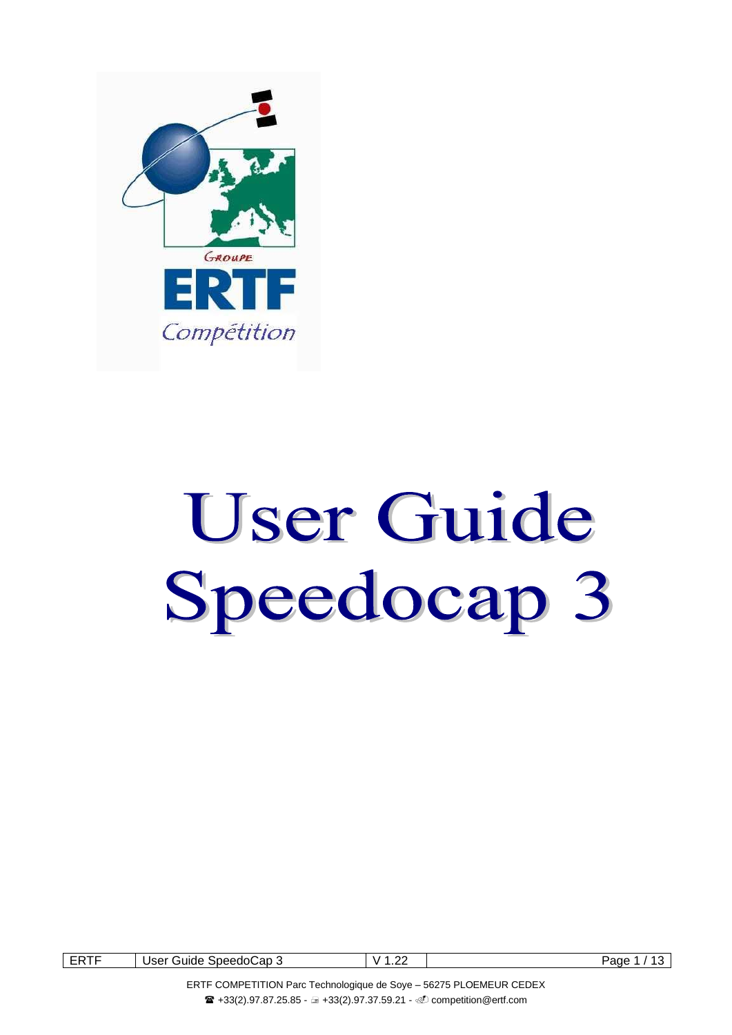

# User Guide Speedocap 3

| ----<br>-⊷<br>. .<br>----- | Guide<br>Jser<br>SpeedoCap 3<br>. | n,<br>M<br>. | Page |
|----------------------------|-----------------------------------|--------------|------|
|                            |                                   |              |      |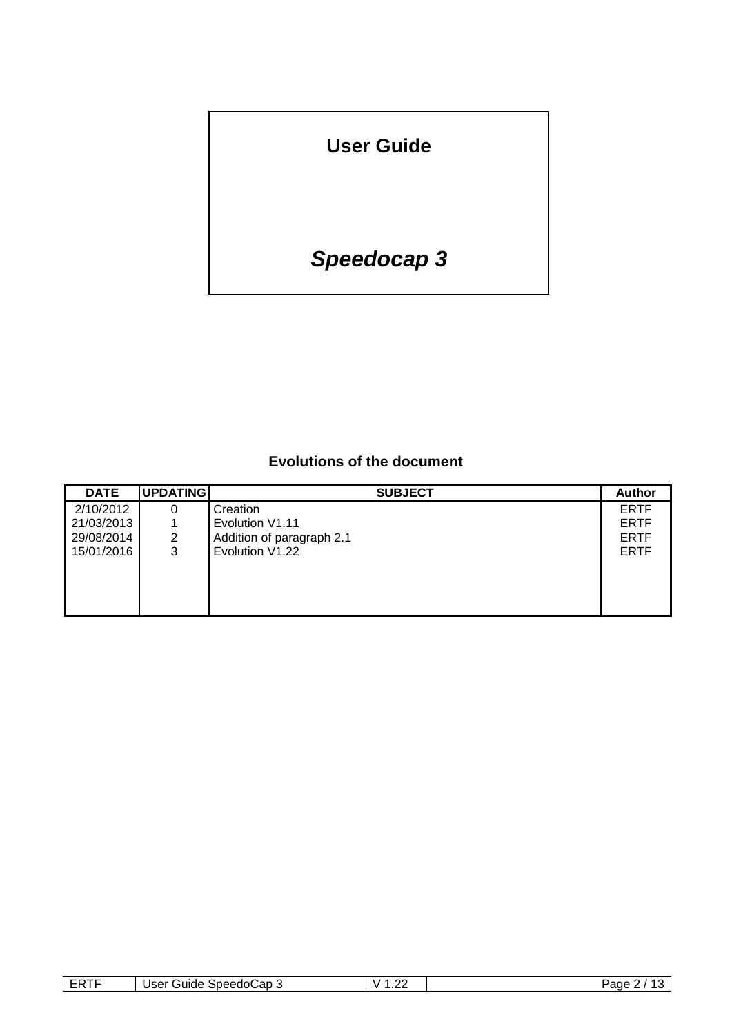**User Guide**

# *Speedocap 3*

# **Evolutions of the document**

| <b>DATE</b> | <b>UPDATING</b> | <b>SUBJECT</b>            | <b>Author</b> |
|-------------|-----------------|---------------------------|---------------|
| 2/10/2012   |                 | Creation                  | <b>ERTF</b>   |
| 21/03/2013  |                 | Evolution V1.11           | <b>ERTF</b>   |
| 29/08/2014  | 2               | Addition of paragraph 2.1 | <b>ERTF</b>   |
| 15/01/2016  | 3               | Evolution V1.22           | <b>ERTF</b>   |
|             |                 |                           |               |
|             |                 |                           |               |
|             |                 |                           |               |
|             |                 |                           |               |

| Cap.<br>Speedol<br>- - -<br>anne<br>. .<br>551<br>÷.<br>- 1 | v<br>. . | Panc<br>È |
|-------------------------------------------------------------|----------|-----------|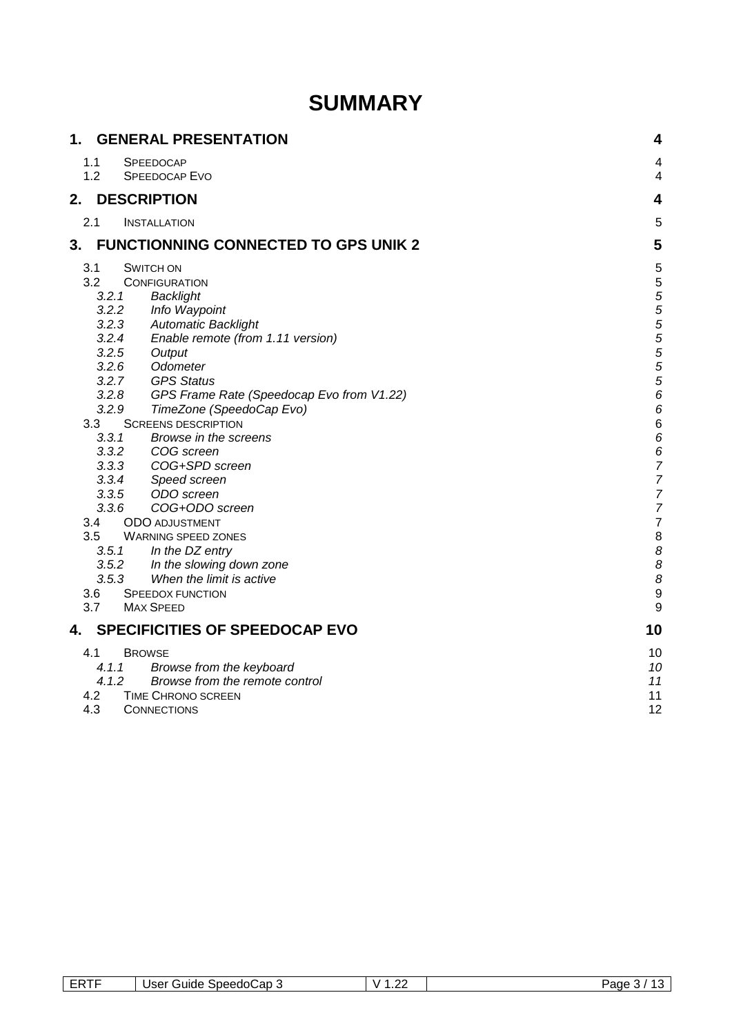# **SUMMARY**

| 1.         | <b>GENERAL PRESENTATION</b>                                        | 4                |
|------------|--------------------------------------------------------------------|------------------|
| 1.1<br>1.2 | <b>SPEEDOCAP</b><br><b>SPEEDOCAP EVO</b>                           | 4<br>4           |
| 2.         | <b>DESCRIPTION</b>                                                 | 4                |
| 2.1        | <b>INSTALLATION</b>                                                | 5                |
| 3.         | <b>FUNCTIONNING CONNECTED TO GPS UNIK 2</b>                        | 5                |
| 3.1        | <b>SWITCH ON</b>                                                   | 5                |
| 3.2        | <b>CONFIGURATION</b>                                               | 5                |
|            | 3.2.1<br>Backlight                                                 |                  |
|            | 3.2.2<br>Info Waypoint                                             | 5<br>5<br>5<br>5 |
|            | 3.2.3<br><b>Automatic Backlight</b>                                |                  |
|            | 3.2.4<br>Enable remote (from 1.11 version)                         | 5                |
|            | 3.2.5<br>Output                                                    | 5                |
|            | 3.2.6<br>Odometer                                                  | 5                |
|            | <b>GPS Status</b><br>3.2.7                                         | 5                |
|            | 3.2.8<br>GPS Frame Rate (Speedocap Evo from V1.22)                 | 6                |
|            | 3.2.9<br>TimeZone (SpeedoCap Evo)                                  | 6                |
| 3.3        | <b>SCREENS DESCRIPTION</b>                                         | $6\phantom{1}6$  |
|            | 3.3.1<br>Browse in the screens                                     | 6                |
|            | 3.3.2<br>COG שטופט.<br>COG+SPD screen<br>Speed screen<br>הפריכה בר | 6                |
|            | 3.3.3                                                              | 7                |
|            | 3.3.4                                                              | 7                |
|            | ODO screen<br>3.3.5                                                | $\frac{7}{7}$    |
|            | 3.3.6<br>COG+ODO screen                                            |                  |
| 3.4        | <b>ODO ADJUSTMENT</b>                                              | $\overline{7}$   |
| 3.5        | <b>WARNING SPEED ZONES</b>                                         | 8                |
|            | 3.5.1 In the DZ entry                                              | 8                |
|            | In the slowing down zone<br>3.5.2                                  | 8                |
|            | 3.5.3<br>When the limit is active                                  | 8                |
| 3.6        | <b>SPEEDOX FUNCTION</b>                                            | 9                |
| 3.7        | <b>MAX SPEED</b>                                                   | 9                |
| 4.         | <b>SPECIFICITIES OF SPEEDOCAP EVO</b>                              | 10               |
| 4.1        | <b>BROWSE</b>                                                      | 10               |
|            | Browse from the keyboard<br>4.1.1                                  | 10               |
|            | 4.1.2<br>Browse from the remote control                            | 11               |
| 4.2        | <b>TIME CHRONO SCREEN</b>                                          | 11               |
| 4.3        | <b>CONNECTIONS</b>                                                 | 12               |

| Speedo('<br>َ uide۔<br>.<br>Page<br>∵apث<br>CDI<br>-<br>v<br>וסט<br>. .<br>--<br>. | ----- | $\sim$ |  |
|------------------------------------------------------------------------------------|-------|--------|--|
|------------------------------------------------------------------------------------|-------|--------|--|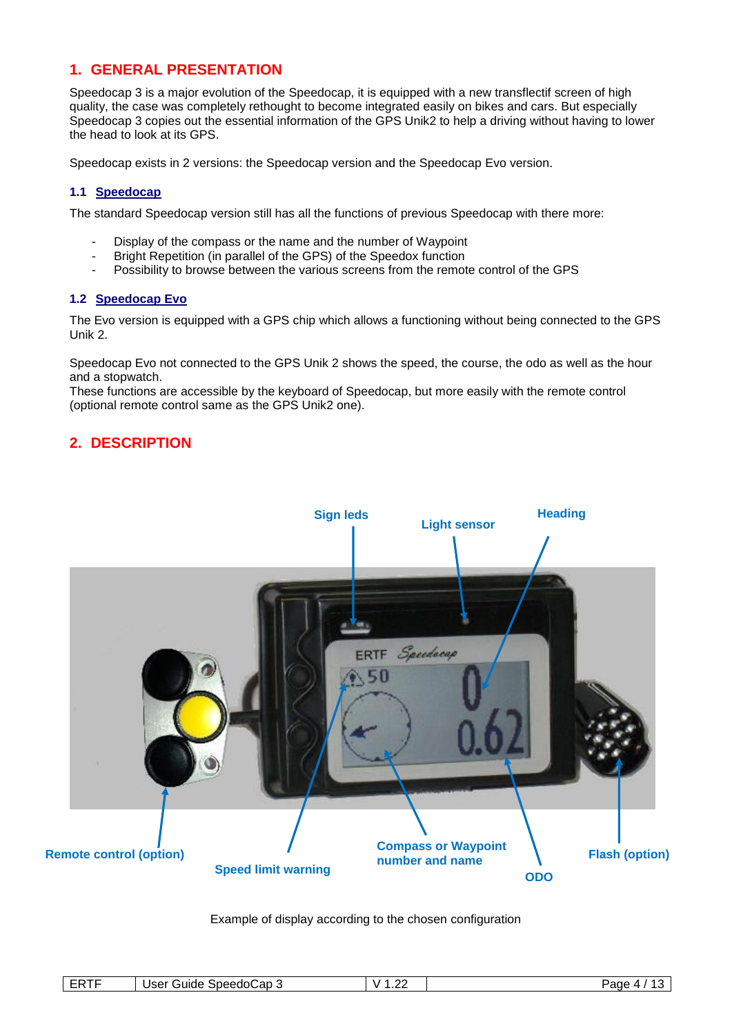## **1. GENERAL PRESENTATION**

Speedocap 3 is a major evolution of the Speedocap, it is equipped with a new transflectif screen of high quality, the case was completely rethought to become integrated easily on bikes and cars. But especially Speedocap 3 copies out the essential information of the GPS Unik2 to help a driving without having to lower the head to look at its GPS.

Speedocap exists in 2 versions: the Speedocap version and the Speedocap Evo version.

#### **1.1 Speedocap**

The standard Speedocap version still has all the functions of previous Speedocap with there more:

- Display of the compass or the name and the number of Waypoint
- Bright Repetition (in parallel of the GPS) of the Speedox function
- Possibility to browse between the various screens from the remote control of the GPS

#### **1.2 Speedocap Evo**

The Evo version is equipped with a GPS chip which allows a functioning without being connected to the GPS Unik 2.

Speedocap Evo not connected to the GPS Unik 2 shows the speed, the course, the odo as well as the hour and a stopwatch.

These functions are accessible by the keyboard of Speedocap, but more easily with the remote control (optional remote control same as the GPS Unik2 one).

# **2. DESCRIPTION**



Example of display according to the chosen configuration

| -----<br>--<br>. .<br><b>11</b><br>- | ,⊖ap ∵<br>Guide<br>Speedo(<br>User<br>w | o<br>M<br>. | Page |
|--------------------------------------|-----------------------------------------|-------------|------|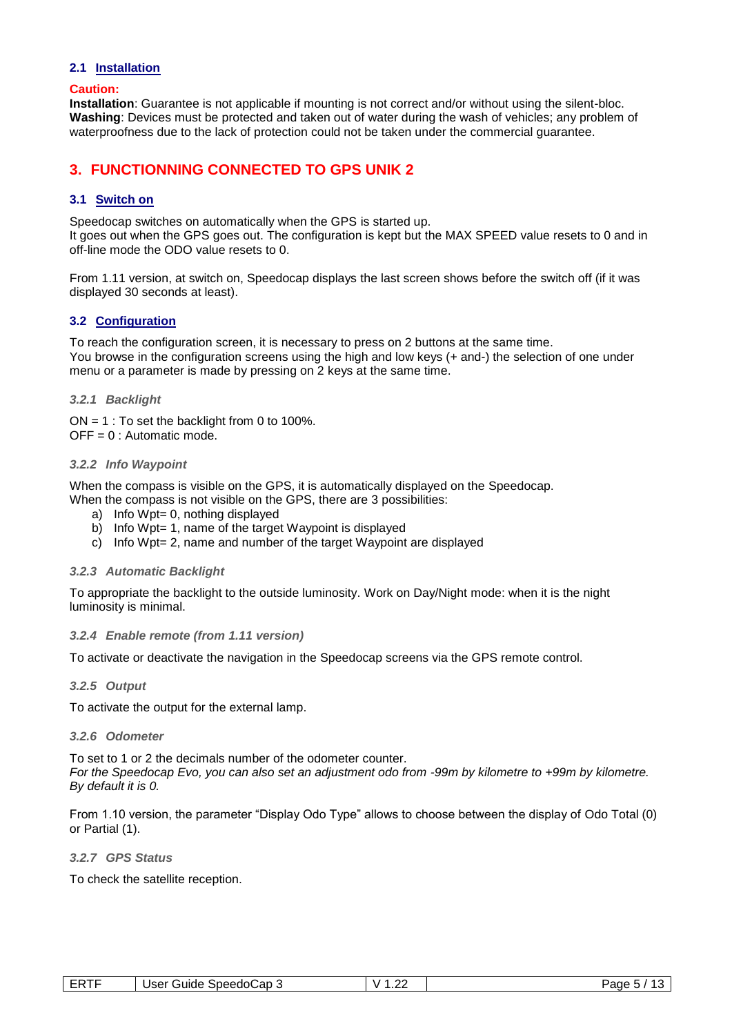#### **2.1 Installation**

#### **Caution:**

**Installation**: Guarantee is not applicable if mounting is not correct and/or without using the silent-bloc. **Washing**: Devices must be protected and taken out of water during the wash of vehicles; any problem of waterproofness due to the lack of protection could not be taken under the commercial guarantee.

## **3. FUNCTIONNING CONNECTED TO GPS UNIK 2**

#### **3.1 Switch on**

Speedocap switches on automatically when the GPS is started up.

It goes out when the GPS goes out. The configuration is kept but the MAX SPEED value resets to 0 and in off-line mode the ODO value resets to 0.

From 1.11 version, at switch on, Speedocap displays the last screen shows before the switch off (if it was displayed 30 seconds at least).

#### **3.2 Configuration**

To reach the configuration screen, it is necessary to press on 2 buttons at the same time. You browse in the configuration screens using the high and low keys (+ and-) the selection of one under menu or a parameter is made by pressing on 2 keys at the same time.

#### *3.2.1 Backlight*

 $ON = 1$ : To set the backlight from 0 to 100%.  $OFF = 0$ : Automatic mode.

#### *3.2.2 Info Waypoint*

When the compass is visible on the GPS, it is automatically displayed on the Speedocap. When the compass is not visible on the GPS, there are 3 possibilities:

- a) Info Wpt= 0, nothing displayed
- b) Info Wpt= 1, name of the target Waypoint is displayed
- c) Info Wpt= 2, name and number of the target Waypoint are displayed

#### *3.2.3 Automatic Backlight*

To appropriate the backlight to the outside luminosity. Work on Day/Night mode: when it is the night luminosity is minimal.

#### *3.2.4 Enable remote (from 1.11 version)*

To activate or deactivate the navigation in the Speedocap screens via the GPS remote control.

#### *3.2.5 Output*

To activate the output for the external lamp.

#### *3.2.6 Odometer*

To set to 1 or 2 the decimals number of the odometer counter. *For the Speedocap Evo, you can also set an adjustment odo from -99m by kilometre to +99m by kilometre. By default it is 0.*

From 1.10 version, the parameter "Display Odo Type" allows to choose between the display of Odo Total (0) or Partial (1).

*3.2.7 GPS Status*

To check the satellite reception.

| ----- | .                            | n.     |       |
|-------|------------------------------|--------|-------|
| . .   | SpeedoCap<br>Guide 1<br>Jser | ີ<br>. | Page. |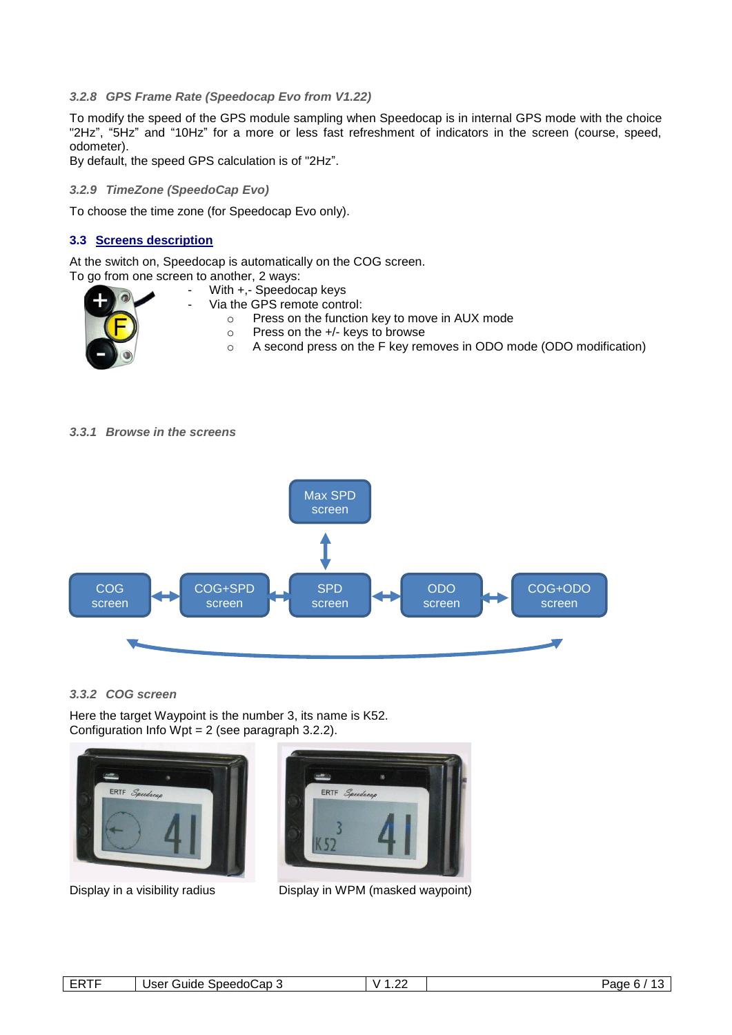#### *3.2.8 GPS Frame Rate (Speedocap Evo from V1.22)*

To modify the speed of the GPS module sampling when Speedocap is in internal GPS mode with the choice "2Hz", "5Hz" and "10Hz" for a more or less fast refreshment of indicators in the screen (course, speed, odometer).

By default, the speed GPS calculation is of "2Hz".

#### *3.2.9 TimeZone (SpeedoCap Evo)*

To choose the time zone (for Speedocap Evo only).

#### **3.3 Screens description**

At the switch on, Speedocap is automatically on the COG screen.

To go from one screen to another, 2 ways: With +.- Speedocap keys Via the GPS remote control: o Press on the function key to move in AUX mode o Press on the +/- keys to browse o A second press on the F key removes in ODO mode (ODO modification)

#### *3.3.1 Browse in the screens*



#### *3.3.2 COG screen*

Here the target Waypoint is the number 3, its name is K52. Configuration Info Wpt =  $2$  (see paragraph 3.2.2).





Display in a visibility radius Display in WPM (masked waypoint)

| <b>ERTF</b> | ∵Guide SpeedoCap 3<br>Jser | ۰.<br>. | $\sqrt{2}$<br>Page 6. |
|-------------|----------------------------|---------|-----------------------|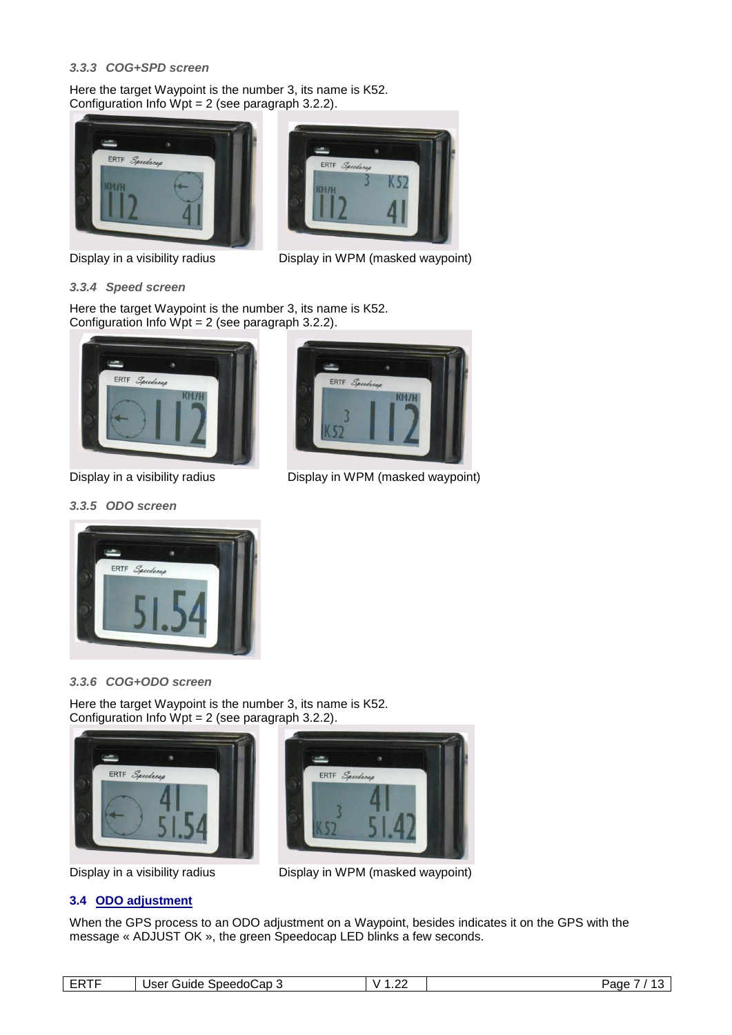#### *3.3.3 COG+SPD screen*

Here the target Waypoint is the number 3, its name is K52. Configuration Info Wpt = 2 (see paragraph 3.2.2).





Display in a visibility radius Display in WPM (masked waypoint)



Here the target Waypoint is the number 3, its name is K52. Configuration Info Wpt = 2 (see paragraph 3.2.2).



#### *3.3.5 ODO screen*



#### *3.3.6 COG+ODO screen*

Here the target Waypoint is the number 3, its name is K52. Configuration Info Wpt = 2 (see paragraph 3.2.2).





Display in a visibility radius Display in WPM (masked waypoint)

### **3.4 ODO adjustment**

When the GPS process to an ODO adjustment on a Waypoint, besides indicates it on the GPS with the message « ADJUST OK », the green Speedocap LED blinks a few seconds.

| ----<br>-- | SpeedoCap<br>lear<br>aune.<br>ייספי | . | age<br>. . |
|------------|-------------------------------------|---|------------|
|            |                                     |   |            |



Display in a visibility radius **Display in WPM** (masked waypoint)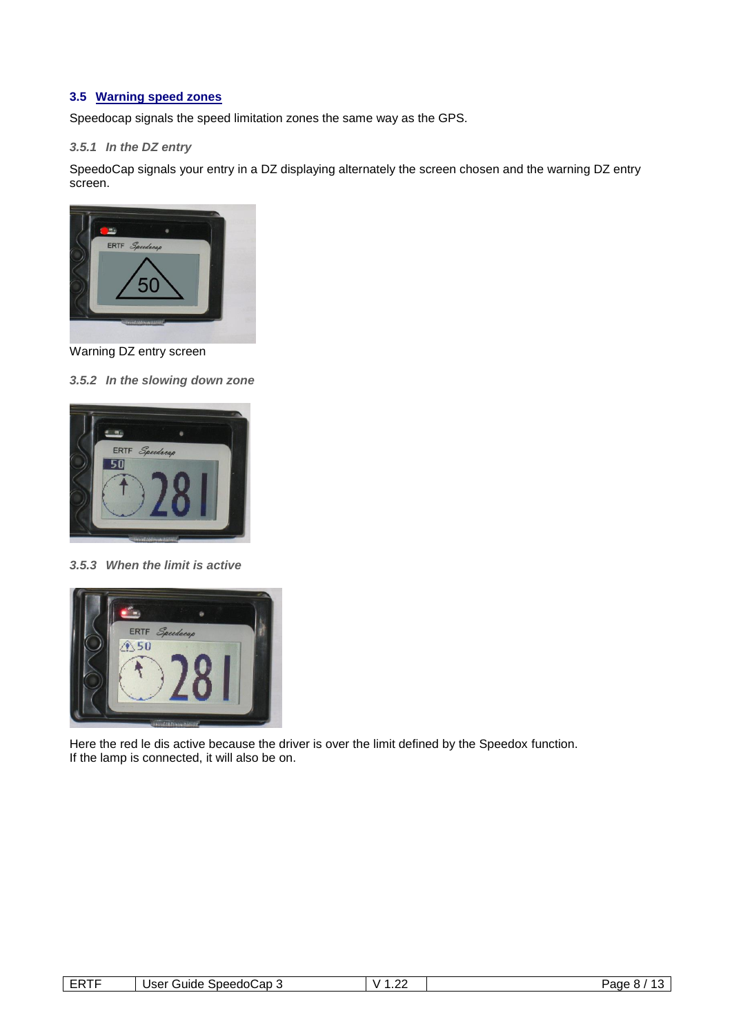#### **3.5 Warning speed zones**

Speedocap signals the speed limitation zones the same way as the GPS.

#### *3.5.1 In the DZ entry*

SpeedoCap signals your entry in a DZ displaying alternately the screen chosen and the warning DZ entry screen.



Warning DZ entry screen

#### *3.5.2 In the slowing down zone*



*3.5.3 When the limit is active*



Here the red le dis active because the driver is over the limit defined by the Speedox function. If the lamp is connected, it will also be on.

| ----<br>__ | SpeedoCap 3<br>Jser<br>Guide | ~~<br>. | Page |
|------------|------------------------------|---------|------|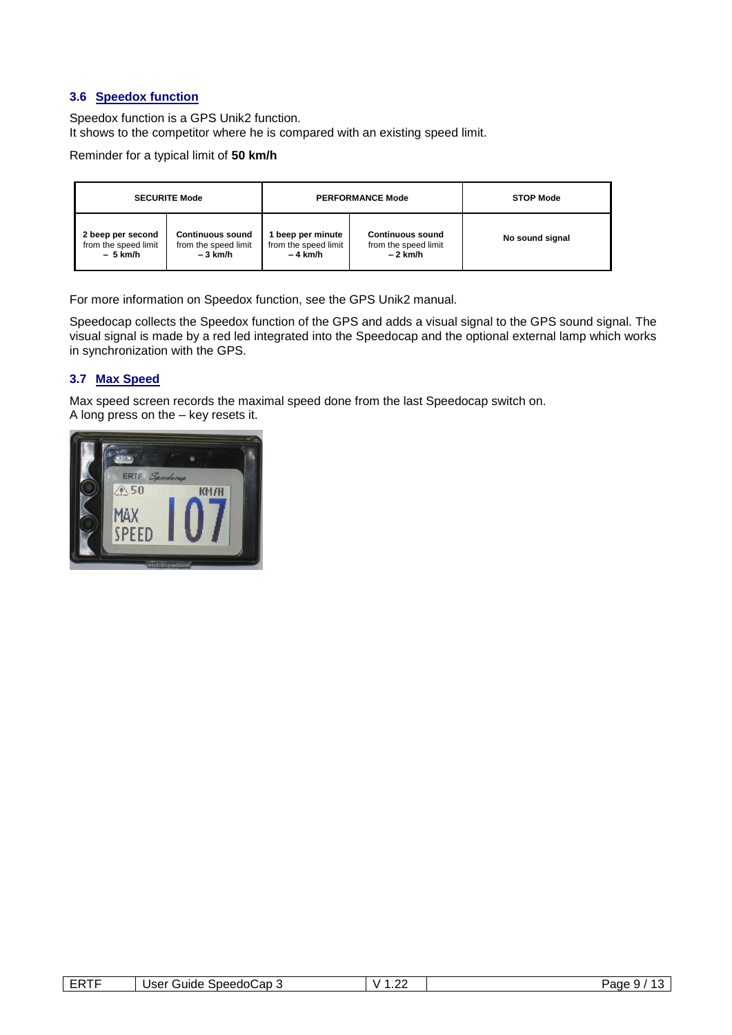#### **3.6 Speedox function**

Speedox function is a GPS Unik2 function. It shows to the competitor where he is compared with an existing speed limit.

Reminder for a typical limit of **50 km/h**

|                      | <b>SECURITE Mode</b>    |                      | <b>PERFORMANCE Mode</b> | <b>STOP Mode</b> |
|----------------------|-------------------------|----------------------|-------------------------|------------------|
| 2 beep per second    | <b>Continuous sound</b> | beep per minute      | <b>Continuous sound</b> | No sound signal  |
| from the speed limit | from the speed limit    | from the speed limit | from the speed limit    |                  |
| – 5 km/h             | $-3$ km/h               | – 4 km/h             | – 2 km/h                |                  |

For more information on Speedox function, see the GPS Unik2 manual.

Speedocap collects the Speedox function of the GPS and adds a visual signal to the GPS sound signal. The visual signal is made by a red led integrated into the Speedocap and the optional external lamp which works in synchronization with the GPS.

#### **3.7 Max Speed**

Max speed screen records the maximal speed done from the last Speedocap switch on. A long press on the – key resets it.



| -----<br>.<br>-- | `SpeedoCap 5<br>User<br>Guide | . | Page<br>-<br>$\cdot$ |
|------------------|-------------------------------|---|----------------------|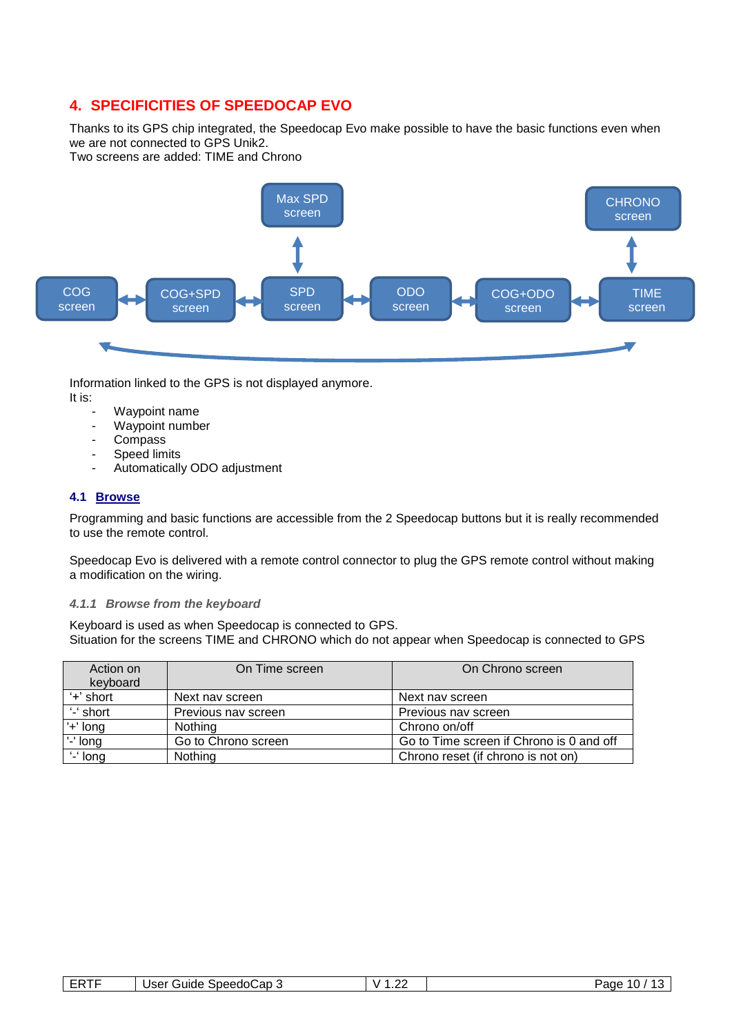# **4. SPECIFICITIES OF SPEEDOCAP EVO**

Thanks to its GPS chip integrated, the Speedocap Evo make possible to have the basic functions even when we are not connected to GPS Unik2.

Two screens are added: TIME and Chrono



Information linked to the GPS is not displayed anymore.

- It is:
	- Waypoint name
	- Waypoint number
	- Compass
	- Speed limits
	- Automatically ODO adjustment

#### **4.1 Browse**

Programming and basic functions are accessible from the 2 Speedocap buttons but it is really recommended to use the remote control.

Speedocap Evo is delivered with a remote control connector to plug the GPS remote control without making a modification on the wiring.

#### *4.1.1 Browse from the keyboard*

Keyboard is used as when Speedocap is connected to GPS. Situation for the screens TIME and CHRONO which do not appear when Speedocap is connected to GPS

| Action on<br>keyboard | On Time screen      | On Chrono screen                         |
|-----------------------|---------------------|------------------------------------------|
| '+' short             | Next nav screen     | Next nav screen                          |
| '-' short             | Previous nav screen | Previous nav screen                      |
| '+' long              | Nothing             | Chrono on/off                            |
| '-' long              | Go to Chrono screen | Go to Time screen if Chrono is 0 and off |
| '-' long              | Nothing             | Chrono reset (if chrono is not on)       |

| -----<br>. . | .<br>`on.<br>ుpeedo⊆<br>$_{\rm ICA}$<br>зике<br>∴udu<br>ההנ<br>. . | ~~<br>. | $\sim$<br>aue<br>. . |
|--------------|--------------------------------------------------------------------|---------|----------------------|
|--------------|--------------------------------------------------------------------|---------|----------------------|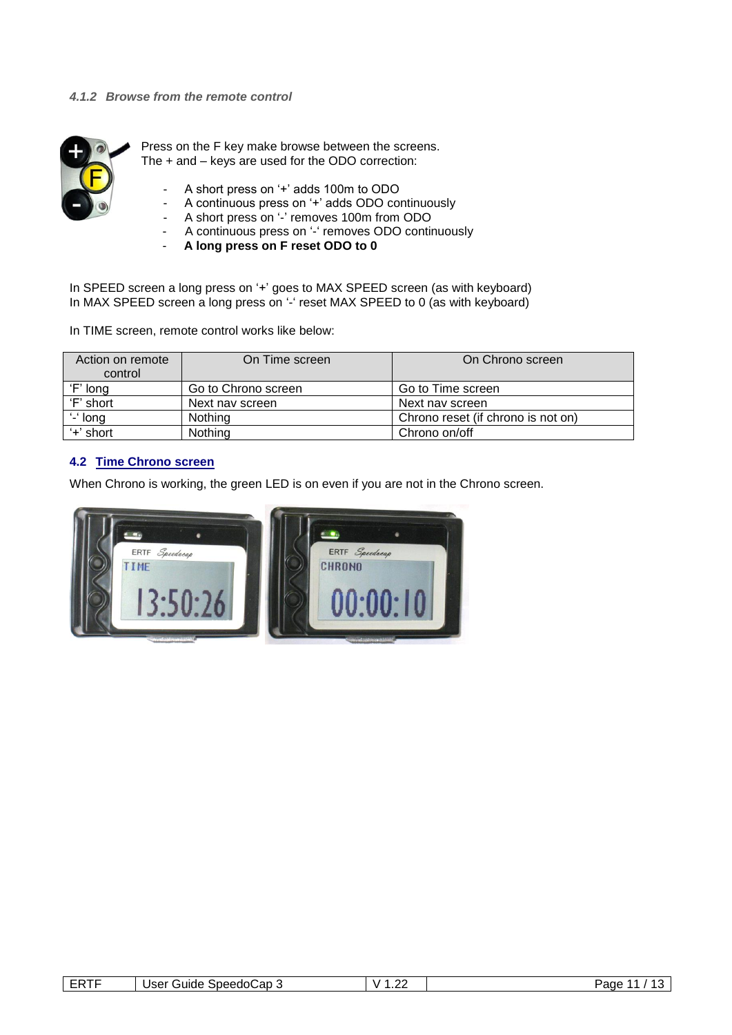

Press on the F key make browse between the screens. The + and – keys are used for the ODO correction:

- A short press on '+' adds 100m to ODO
- A continuous press on '+' adds ODO continuously
- A short press on '-' removes 100m from ODO
- A continuous press on '-' removes ODO continuously
- **A long press on F reset ODO to 0**

In SPEED screen a long press on '+' goes to MAX SPEED screen (as with keyboard) In MAX SPEED screen a long press on '-' reset MAX SPEED to 0 (as with keyboard)

In TIME screen, remote control works like below:

| Action on remote<br>control | On Time screen      | On Chrono screen                   |
|-----------------------------|---------------------|------------------------------------|
| 'F' long                    | Go to Chrono screen | Go to Time screen                  |
| 'F' short                   | Next nav screen     | Next nav screen                    |
| $-$ long                    | Nothing             | Chrono reset (if chrono is not on) |
| $+$ 'short                  | Nothing             | Chrono on/off                      |

#### **4.2 Time Chrono screen**

When Chrono is working, the green LED is on even if you are not in the Chrono screen.



| . . | $\cdot$<br>speedo.<br>. suite .<br>uau J<br>_ | . | $\sim$<br>aoe |
|-----|-----------------------------------------------|---|---------------|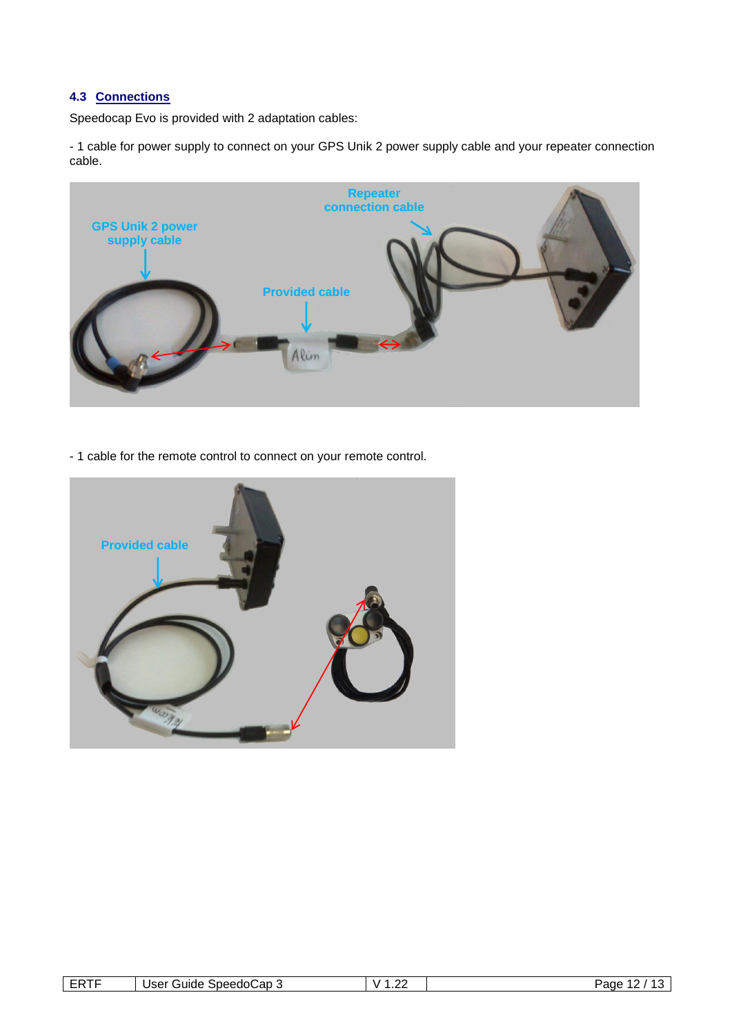#### **4.3 Connections**

Speedocap Evo is provided with 2 adaptation cables:

- 1 cable for power supply to connect on your GPS Unik 2 power supply cable and your repeater connection cable.



- 1 cable for the remote control to connect on your remote control.



| ----<br>. . | .<br>∴ap∴<br>Speedol<br>אוו<br>$_{\rm ICA}$<br>ouide<br>ບວ⊏ເ | - 2 | ^^<br>. | $\sim$<br>aqe |
|-------------|--------------------------------------------------------------|-----|---------|---------------|